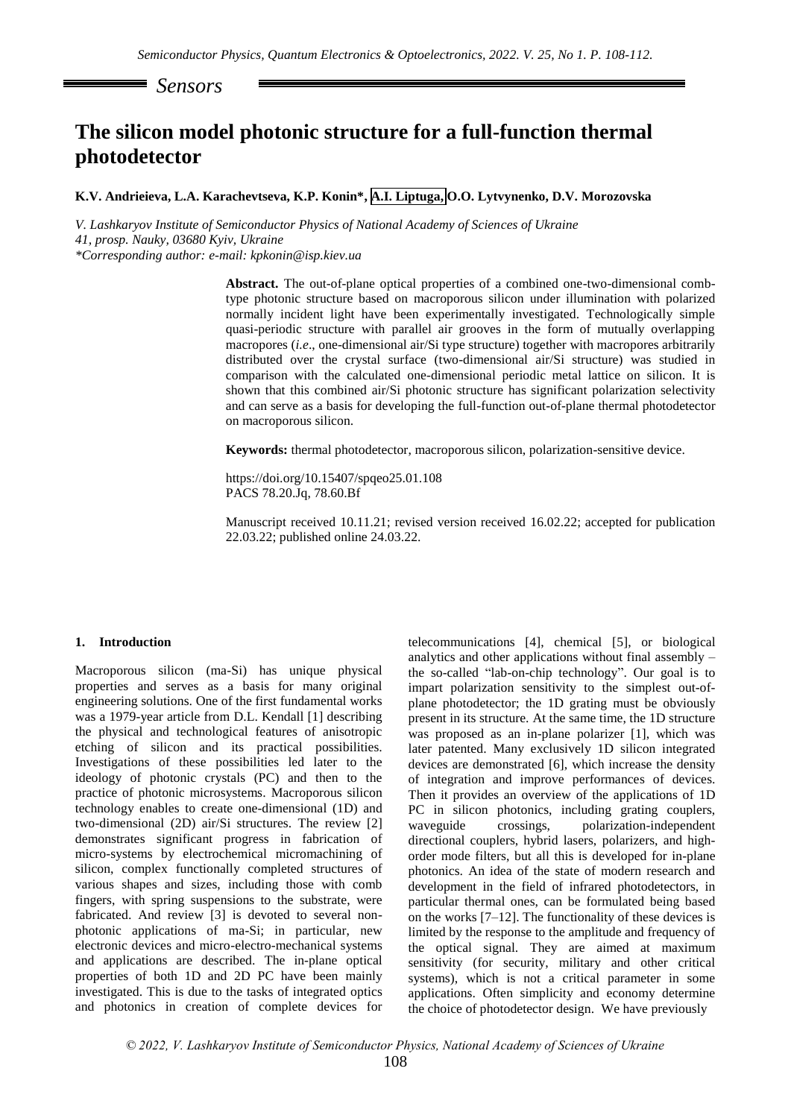*Sensors*

# **The silicon model photonic structure for a full-function thermal photodetector**

**K.V. Andrieieva, L.A. Karachevtseva, K.P. Konin\*, A.I. Liptuga, O.O. Lytvynenko, D.V. Morozovska** 

*V. Lashkaryov Institute of Semiconductor Physics of National Academy of Sciences of Ukraine 41, prosp. Nauky, 03680 Kyiv, Ukraine \*Corresponding author: e-mail: kpkonin@isp.kiev.ua*

> **Abstract.** The out-of-plane optical properties of a combined one-two-dimensional combtype photonic structure based on macroporous silicon under illumination with polarized normally incident light have been experimentally investigated. Technologically simple quasi-periodic structure with parallel air grooves in the form of mutually overlapping macropores (*i.e*., one-dimensional air/Si type structure) together with macropores arbitrarily distributed over the crystal surface (two-dimensional air/Si structure) was studied in comparison with the calculated one-dimensional periodic metal lattice on silicon. It is shown that this combined air/Si photonic structure has significant polarization selectivity and can serve as a basis for developing the full-function out-of-plane thermal photodetector on macroporous silicon.

**Keywords:** thermal photodetector, macroporous silicon, polarization-sensitive device.

https://doi.org/10.15407/spqeo25.01.108 PACS 78.20.Jq, 78.60.Bf

Manuscript received 10.11.21; revised version received 16.02.22; accepted for publication 22.03.22; published online 24.03.22.

#### **1. Introduction**

Macroporous silicon (ma-Si) has unique physical properties and serves as a basis for many original engineering solutions. One of the first fundamental works was a 1979-year article from D.L. Kendall [1] describing the physical and technological features of anisotropic etching of silicon and its practical possibilities. Investigations of these possibilities led later to the ideology of photonic crystals (PC) and then to the practice of photonic microsystems. Macroporous silicon technology enables to create one-dimensional (1D) and two-dimensional (2D) air/Si structures. The review [2] demonstrates significant progress in fabrication of micro-systems by electrochemical micromachining of silicon, complex functionally completed structures of various shapes and sizes, including those with comb fingers, with spring suspensions to the substrate, were fabricated. And review [3] is devoted to several nonphotonic applications of ma-Si; in particular, new electronic devices and micro-electro-mechanical systems and applications are described. The in-plane optical properties of both 1D and 2D PC have been mainly investigated. This is due to the tasks of integrated optics and photonics in creation of complete devices for

telecommunications [4], chemical [5], or biological analytics and other applications without final assembly – the so-called "lab-on-chip technology". Our goal is to impart polarization sensitivity to the simplest out-ofplane photodetector; the 1D grating must be obviously present in its structure. At the same time, the 1D structure was proposed as an in-plane polarizer [1], which was later patented. Many exclusively 1D silicon integrated devices are demonstrated [6], which increase the density of integration and improve performances of devices. Then it provides an overview of the applications of 1D PC in silicon photonics, including grating couplers, waveguide crossings, polarization-independent directional couplers, hybrid lasers, polarizers, and highorder mode filters, but all this is developed for in-plane photonics. An idea of the state of modern research and development in the field of infrared photodetectors, in particular thermal ones, can be formulated being based on the works [7–12]. The functionality of these devices is limited by the response to the amplitude and frequency of the optical signal. They are aimed at maximum sensitivity (for security, military and other critical systems), which is not a critical parameter in some applications. Often simplicity and economy determine the choice of photodetector design. We have previously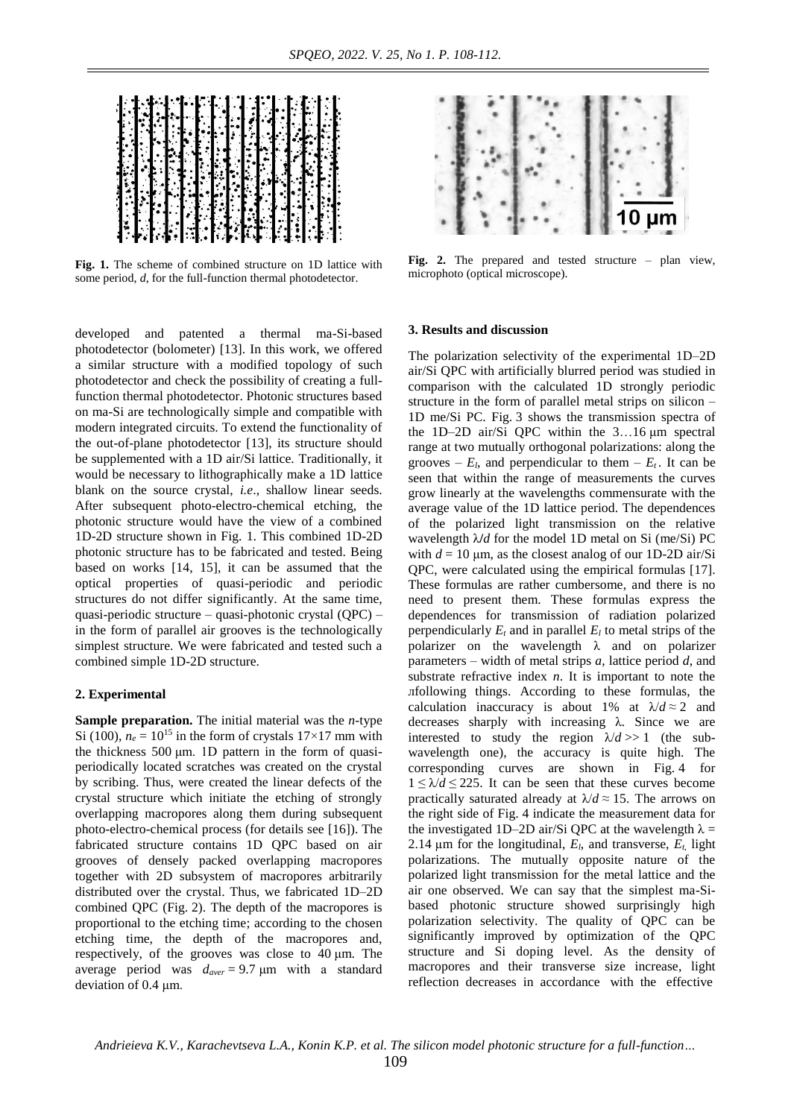

**Fig. 1.** The scheme of combined structure on 1D lattice with some period, *d*, for the full-function thermal photodetector.

developed and patented a thermal ma-Si-based photodetector (bolometer) [13]. In this work, we offered a similar structure with a modified topology of such photodetector and check the possibility of creating a fullfunction thermal photodetector. Photonic structures based on ma-Si are technologically simple and compatible with modern integrated circuits. To extend the functionality of the out-of-plane photodetector [13], its structure should be supplemented with a 1D air/Si lattice. Traditionally, it would be necessary to lithographically make a 1D lattice blank on the source crystal, *i.e*., shallow linear seeds. After subsequent photo-electro-chemical etching, the photonic structure would have the view of a combined 1D-2D structure shown in Fig. 1. This combined 1D-2D photonic structure has to be fabricated and tested. Being based on works [14, 15], it can be assumed that the optical properties of quasi-periodic and periodic structures do not differ significantly. At the same time, quasi-periodic structure – quasi-photonic crystal (QPC) – in the form of parallel air grooves is the technologically simplest structure. We were fabricated and tested such a combined simple 1D-2D structure.

## **2. Experimental**

**Sample preparation.** The initial material was the *n*-type Si (100),  $n_e = 10^{15}$  in the form of crystals 17×17 mm with the thickness 500 μm. 1D pattern in the form of quasiperiodically located scratches was created on the crystal by scribing. Thus, were created the linear defects of the crystal structure which initiate the etching of strongly overlapping macropores along them during subsequent photo-electro-chemical process (for details see [16]). The fabricated structure contains 1D QPC based on air grooves of densely packed overlapping macropores together with 2D subsystem of macropores arbitrarily distributed over the crystal. Thus, we fabricated 1D–2D combined QPC (Fig. 2). The depth of the macropores is proportional to the etching time; according to the chosen etching time, the depth of the macropores and, respectively, of the grooves was close to 40 μm. The average period was *daver* = 9.7 μm with a standard deviation of 0.4 μm.



**Fig. 2.** The prepared and tested structure – plan view, microphoto (optical microscope).

#### **3. Results and discussion**

The polarization selectivity of the experimental 1D–2D air/Si QPC with artificially blurred period was studied in comparison with the calculated 1D strongly periodic structure in the form of parallel metal strips on silicon – 1D me/Si PC. Fig. 3 shows the transmission spectra of the 1D–2D air/Si QPC within the 3…16 μm spectral range at two mutually orthogonal polarizations: along the grooves –  $E_l$ , and perpendicular to them –  $E_t$ . It can be seen that within the range of measurements the curves grow linearly at the wavelengths commensurate with the average value of the 1D lattice period. The dependences of the polarized light transmission on the relative wavelength λ**/***d* for the model 1D metal on Si (me/Si) PC with  $d = 10 \mu m$ , as the closest analog of our 1D-2D air/Si QPC, were calculated using the empirical formulas [17]. These formulas are rather cumbersome, and there is no need to present them. These formulas express the dependences for transmission of radiation polarized perpendicularly  $E_t$  and in parallel  $E_l$  to metal strips of the polarizer on the wavelength λ and on polarizer parameters – width of metal strips *a*, lattice period *d*, and substrate refractive index *n*. It is important to note the лfollowing things. According to these formulas, the calculation inaccuracy is about 1% at  $\lambda/d \approx 2$  and decreases sharply with increasing λ. Since we are interested to study the region  $\lambda/d >> 1$  (the subwavelength one), the accuracy is quite high. The corresponding curves are shown in Fig. 4 for  $1 \leq \lambda/d \leq 225$ . It can be seen that these curves become practically saturated already at  $\lambda/d \approx 15$ . The arrows on the right side of Fig. 4 indicate the measurement data for the investigated 1D–2D air/Si QPC at the wavelength  $\lambda =$ 2.14  $\mu$ m for the longitudinal,  $E_l$ , and transverse,  $E_t$ , light polarizations. The mutually opposite nature of the polarized light transmission for the metal lattice and the air one observed. We can say that the simplest ma-Sibased photonic structure showed surprisingly high polarization selectivity. The quality of QPC can be significantly improved by optimization of the QPC structure and Si doping level. As the density of macropores and their transverse size increase, light reflection decreases in accordance with the effective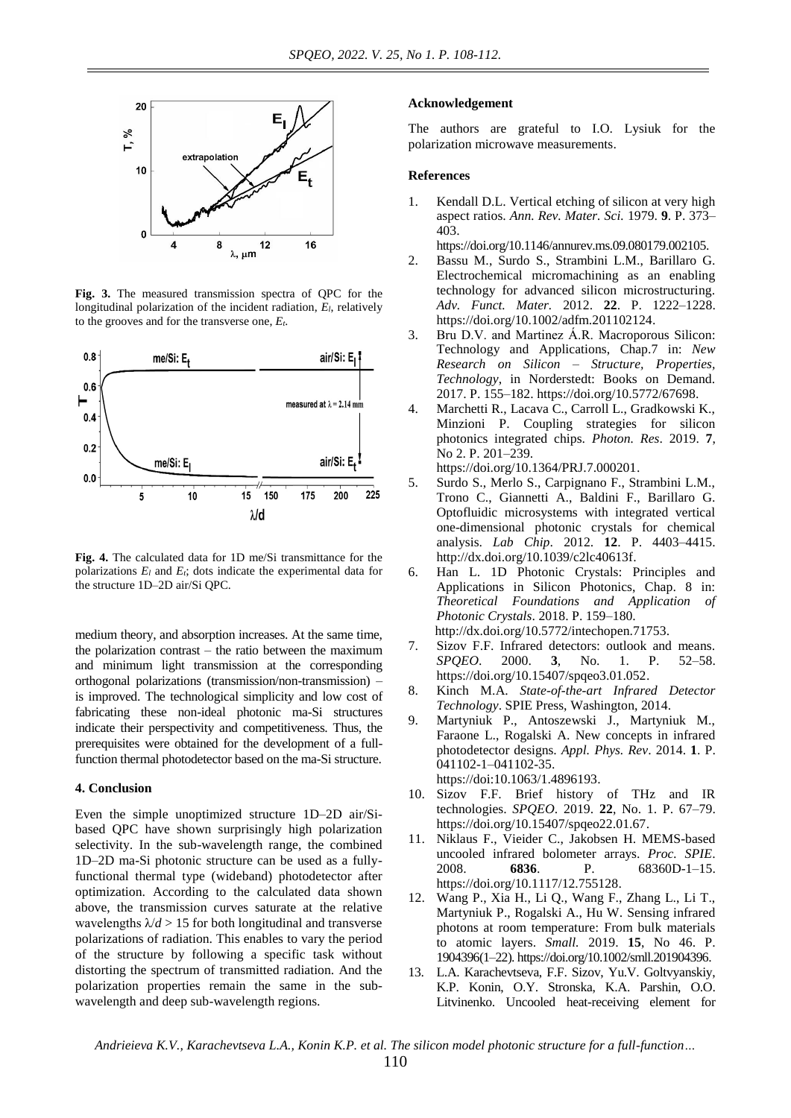

**Fig. 3.** The measured transmission spectra of QPC for the longitudinal polarization of the incident radiation, *El*, relatively to the grooves and for the transverse one, *Et*.



**Fig. 4.** The calculated data for 1D me/Si transmittance for the polarizations *E<sup>l</sup>* and *Et*; dots indicate the experimental data for the structure 1D–2D air/Si QPC.

medium theory, and absorption increases. At the same time, the polarization contrast – the ratio between the maximum and minimum light transmission at the corresponding orthogonal polarizations (transmission/non-transmission) – is improved. The technological simplicity and low cost of fabricating these non-ideal photonic ma-Si structures indicate their perspectivity and competitiveness. Thus, the prerequisites were obtained for the development of a fullfunction thermal photodetector based on the ma-Si structure.

### **4. Conclusion**

Even the simple unoptimized structure 1D–2D air/Sibased QPC have shown surprisingly high polarization selectivity. In the sub-wavelength range, the combined 1D–2D ma-Si photonic structure can be used as a fullyfunctional thermal type (wideband) photodetector after optimization. According to the calculated data shown above, the transmission curves saturate at the relative wavelengths  $\lambda/d > 15$  for both longitudinal and transverse polarizations of radiation. This enables to vary the period of the structure by following a specific task without distorting the spectrum of transmitted radiation. And the polarization properties remain the same in the subwavelength and deep sub-wavelength regions.

#### **Acknowledgement**

The authors are grateful to I.O. Lysiuk for the polarization microwave measurements.

## **References**

1. Kendall D.L. Vertical etching of silicon at very high aspect ratios. *Ann. Rev. Mater. Sci.* 1979. **9**. P. 373– 403.

[https://doi.org/10.1146/annurev.ms.09.080179.002105.](https://doi.org/10.1146/annurev.ms.09.080179.002105) 

- 2. Bassu M., Surdo S., Strambini L.M., Barillaro G. Electrochemical micromachining as an enabling technology for advanced silicon microstructuring. *Adv. Funct. Mater.* 2012. **22**. P. 1222–1228. [https://doi.org/10.1002/adfm.201102124.](https://doi.org/10.1002/adfm.201102124)
- 3. Bru D.V. and Martinez Á.R. [Macroporous](https://www.intechopen.com/chapters/54519) Silicon: Technology and [Applications,](https://www.intechopen.com/chapters/54519) Chap.7 in: *New Research on Silicon – Structure, Properties, Technology*, in Norderstedt: Books on Demand. 2017. P. 155–182. [https://doi.org/10.5772/67698.](https://doi.org/10.5772/67698)
- 4. Marchetti R., Lacava C., Carroll L., Gradkowski K., Minzioni P. Coupling strategies for silicon photonics integrated chips. *Photon. Res*. 2019. **7**, No 2. P. 201–239.

[https://doi.org/10.1364/PRJ.7.000201.](https://doi.org/10.1364/PRJ.7.000201)

- 5. Surdo S., Merlo S., Carpignano F., Strambini L.M., Trono C., Giannetti A., Baldini F., Barillaro G. Optofluidic microsystems with integrated vertical one-dimensional photonic crystals for chemical analysis. *Lab Chip*. 2012. **12**. P. 4403–4415. [http://dx.doi.org/10.1039/c2lc40613f.](http://dx.doi.org/10.1039/c2lc40613f)
- 6. Han L. 1D Photonic Crystals: Principles and Applications in Silicon Photonics, Chap. 8 in: *Theoretical Foundations and Application of Photonic Crystals*. 2018. P. 159–180. <http://dx.doi.org/10.5772/intechopen.71753.>
- 7. Sizov F.F. Infrared detectors: outlook and means. *SPQEO*. 2000. **3**, No. 1. P. 52–58. [https://doi.org/10.15407/spqeo3.01.052.](https://doi.org/10.15407/spqeo3.01.052)
- 8. Kinch M.A. *State-of-the-art Infrared Detector Technology*. SPIE Press, Washington, 2014.
- 9. Martyniuk P., Antoszewski J., Martyniuk M., Faraone L., Rogalski A. New concepts in infrared photodetector designs. *Appl. Phys. Rev*. 2014. **1**. P. 041102-1–041102-35. [https://doi:10.1063/1.4896193.](https://doi:10.1063/1.4896193)
- 10. Sizov F.F. Brief history of THz and IR technologies. *SPQEO*. 2019. **22**, No. 1. P. 67–79. [https://doi.org/10.15407/spqeo22.01.67.](https://doi.org/10.15407/spqeo22.01.67)
- 11. Niklaus F., Vieider C., Jakobsen H. MEMS-based uncooled infrared bolometer arrays. *Proc. SPIE*. 2008. **6836**. P. 68360D-1–15. [https://doi.org/10.1117/12.755128.](https://doi.org/10.1117/12.755128)
- 12. Wang P., Xia H., Li Q., Wang F., Zhang L., Li T., Martyniuk P., Rogalski A., Hu W. Sensing infrared photons at room temperature: From bulk materials to atomic layers. *Small.* 2019. **15**, No 46. P. 1904396(1–22)[. https://doi.org/10.1002/smll.201904396.](https://doi.org/10.1002/smll.201904396)
- 13. L.A. Karachevtseva, F.F. Sizov, Yu.V. Goltvyanskiy, K.P. Konin, O.Y. Stronska, K.A. Parshin, O.O. Litvinenko. Uncooled heat-receiving element for

*Andrieieva K.V., Karachevtseva L.A., Konin K.P. et al. The silicon model photonic structure for a full-function…*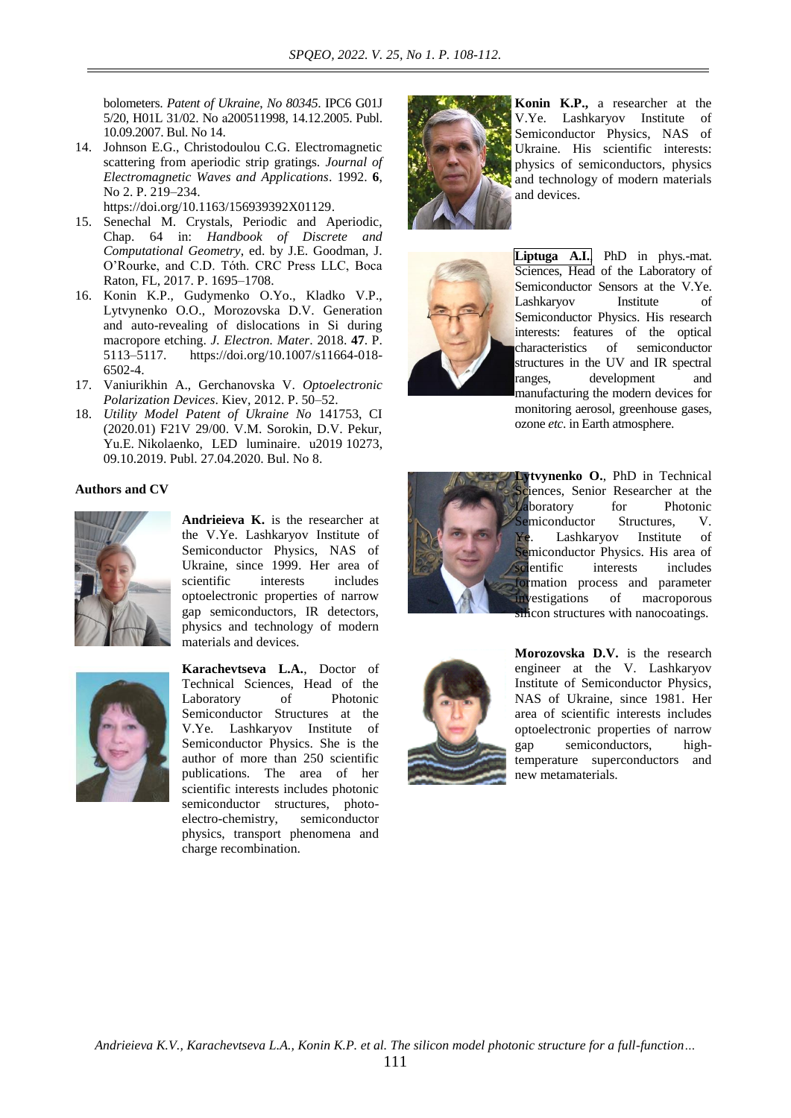bolometers. *Patent of Ukraine*, *No 80345*. IPC6 G01J 5/20, H01L 31/02. No а200511998, 14.12.2005. Publ. 10.09.2007. Bul. No 14.

14. Johnson E.G., Christodoulou C.G. Electromagnetic scattering from aperiodic strip gratings. *Journal of Electromagnetic Waves and Applications*. 1992. **6**, No 2. P. 219–234.

[https://doi.org/10.1163/156939392X01129.](https://doi.org/10.1163/156939392X01129)

- 15. Senechal M. Crystals, Periodic and Aperiodic, Chap. 64 in: *Handbook of Discrete and Computational Geometry*, ed. by J.E. Goodman, J. O'Rourke, and C.D. Tóth. CRC Press LLC, Boca Raton, FL, 2017. P. 1695–1708.
- 16. Konin K.P., Gudymenko O.Yo., Kladko V.P., Lytvynenko O.O., Morozovska D.V. Generation and auto-revealing of dislocations in Si during macropore etching. *J. Electron. Mater*. 2018. **47**. P. 5113–5117. [https://doi.org/10.1007/s11664-018-](https://doi.org/10.1007/s11664-018-6502-4) [6502-4.](https://doi.org/10.1007/s11664-018-6502-4)
- 17. Vaniurikhin A., Gerchanovska V. *Optoelectronic Polarization Devices*. Kiev, 2012. P. 50–52.
- 18. *Utility Model Patent of Ukraine No* 141753, CI (2020.01) F21V 29/00. V.M. Sorokin, D.V. Pekur, Yu.E. Nikolaenko, LED luminaire. u2019 10273, 09.10.2019. Publ. 27.04.2020. Bul. No 8.

## **Authors and CV**



**Andrieieva K.** is the researcher at the V.Ye. Lashkaryov Institute of Semiconductor Physics, NAS of Ukraine, since 1999. Her area of scientific interests includes optoelectronic properties of narrow gap semiconductors, IR detectors, physics and technology of modern materials and devices.



**Karachevtseva L.A.**, Doctor of Technical Sciences, Head of the Laboratory of Photonic Semiconductor Structures at the V.Ye. Lashkaryov Institute of Semiconductor Physics. She is the author of more than 250 scientific publications. The area of her scientific interests includes photonic semiconductor structures, photoelectro-chemistry, semiconductor physics, transport phenomena and charge recombination.



**Konin K.P.,** a researcher at the V.Ye. Lashkaryov Institute of Semiconductor Physics, NAS of Ukraine. His scientific interests: physics of semiconductors, physics and technology of modern materials and devices.



**Liptuga A.I.**, PhD in phys.-mat. Sciences, Head of the Laboratory of Semiconductor Sensors at the V.Ye. Lashkaryov Institute of Semiconductor Physics. His research interests: features of the optical characteristics of semiconductor structures in the UV and IR spectral ranges, development and manufacturing the modern devices for monitoring aerosol, greenhouse gases, ozone *etc*. in Earth atmosphere.



**Lytvynenko O.**, PhD in Technical iences, Senior Researcher at the Laboratory for Photonic Semiconductor Structures, V. Ye. Lashkaryov Institute of Semiconductor Physics. His area of scientific interests includes formation process and parameter investigations of macroporous silicon structures with nanocoatings.



**Morozovska D.V.** is the research engineer at the V. Lashkaryov Institute of Semiconductor Physics, NAS of Ukraine, since 1981. Her area of scientific interests includes optoelectronic properties of narrow gap semiconductors, hightemperature superconductors and new metamaterials.